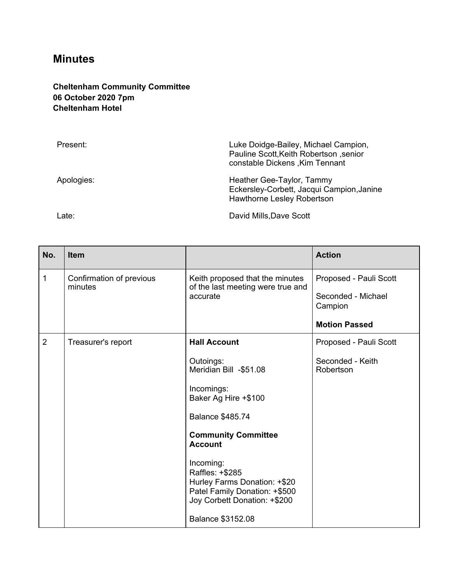## **Minutes**

## **Cheltenham Community Committee 06 October 2020 7pm Cheltenham Hotel**

| Present:   | Luke Doidge-Bailey, Michael Campion,<br>Pauline Scott, Keith Robertson, senior<br>constable Dickens, Kim Tennant |
|------------|------------------------------------------------------------------------------------------------------------------|
| Apologies: | Heather Gee-Taylor, Tammy<br>Eckersley-Corbett, Jacqui Campion, Janine<br><b>Hawthorne Lesley Robertson</b>      |

Late: **David Mills,Dave Scott** 

| No.            | <b>Item</b>                         |                                                                                                                               | <b>Action</b>                 |
|----------------|-------------------------------------|-------------------------------------------------------------------------------------------------------------------------------|-------------------------------|
| $\mathbf{1}$   | Confirmation of previous<br>minutes | Keith proposed that the minutes<br>of the last meeting were true and<br>accurate                                              | Proposed - Pauli Scott        |
|                |                                     |                                                                                                                               | Seconded - Michael<br>Campion |
|                |                                     |                                                                                                                               | <b>Motion Passed</b>          |
| $\overline{2}$ | Treasurer's report                  | <b>Hall Account</b>                                                                                                           | Proposed - Pauli Scott        |
|                |                                     | Outoings:<br>Meridian Bill -\$51.08                                                                                           | Seconded - Keith<br>Robertson |
|                |                                     | Incomings:<br>Baker Ag Hire +\$100                                                                                            |                               |
|                |                                     | <b>Balance \$485.74</b>                                                                                                       |                               |
|                |                                     | <b>Community Committee</b><br><b>Account</b>                                                                                  |                               |
|                |                                     | Incoming:<br>Raffles: +\$285<br>Hurley Farms Donation: +\$20<br>Patel Family Donation: +\$500<br>Joy Corbett Donation: +\$200 |                               |
|                |                                     | <b>Balance \$3152.08</b>                                                                                                      |                               |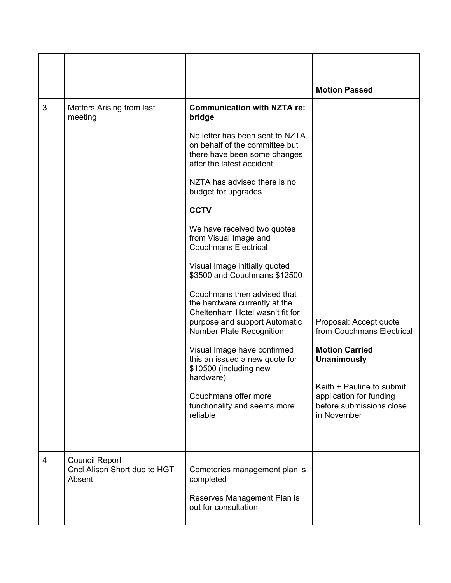|   |                                                                 |                                                                                                                                                                                                                                       | <b>Motion Passed</b>                                                                            |
|---|-----------------------------------------------------------------|---------------------------------------------------------------------------------------------------------------------------------------------------------------------------------------------------------------------------------------|-------------------------------------------------------------------------------------------------|
| 3 | <b>Matters Arising from last</b><br>meeting                     | <b>Communication with NZTA re:</b><br>bridge<br>No letter has been sent to NZTA<br>on behalf of the committee but<br>there have been some changes<br>after the latest accident<br>NZTA has advised there is no<br>budget for upgrades |                                                                                                 |
|   |                                                                 | <b>CCTV</b>                                                                                                                                                                                                                           |                                                                                                 |
|   |                                                                 | We have received two quotes<br>from Visual Image and<br><b>Couchmans Electrical</b>                                                                                                                                                   |                                                                                                 |
|   |                                                                 | Visual Image initially quoted<br>\$3500 and Couchmans \$12500                                                                                                                                                                         |                                                                                                 |
|   |                                                                 | Couchmans then advised that<br>the hardware currently at the<br>Cheltenham Hotel wasn't fit for<br>purpose and support Automatic<br><b>Number Plate Recognition</b>                                                                   | Proposal: Accept quote<br>from Couchmans Electrical                                             |
|   |                                                                 | Visual Image have confirmed<br>this an issued a new quote for<br>\$10500 (including new<br>hardware)                                                                                                                                  | <b>Motion Carried</b><br><b>Unanimously</b>                                                     |
|   |                                                                 | Couchmans offer more<br>functionality and seems more<br>reliable                                                                                                                                                                      | Keith + Pauline to submit<br>application for funding<br>before submissions close<br>in November |
| 4 | <b>Council Report</b><br>Cncl Alison Short due to HGT<br>Absent | Cemeteries management plan is<br>completed<br>Reserves Management Plan is                                                                                                                                                             |                                                                                                 |
|   |                                                                 | out for consultation                                                                                                                                                                                                                  |                                                                                                 |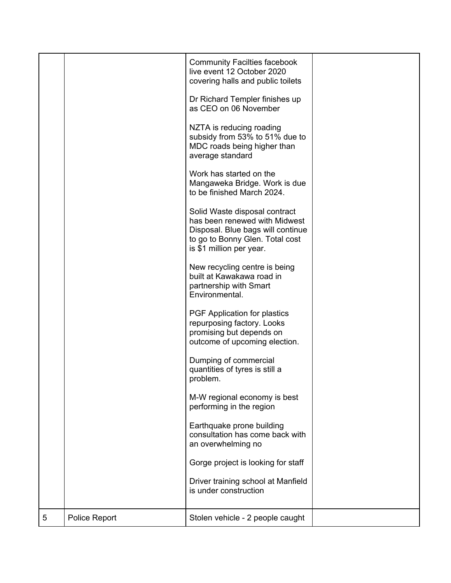|   |               | <b>Community Facilties facebook</b><br>live event 12 October 2020<br>covering halls and public toilets<br>Dr Richard Templer finishes up<br>as CEO on 06 November<br>NZTA is reducing roading<br>subsidy from 53% to 51% due to<br>MDC roads being higher than<br>average standard<br>Work has started on the |  |
|---|---------------|---------------------------------------------------------------------------------------------------------------------------------------------------------------------------------------------------------------------------------------------------------------------------------------------------------------|--|
|   |               | Mangaweka Bridge. Work is due<br>to be finished March 2024.                                                                                                                                                                                                                                                   |  |
|   |               | Solid Waste disposal contract<br>has been renewed with Midwest<br>Disposal. Blue bags will continue<br>to go to Bonny Glen. Total cost<br>is \$1 million per year.                                                                                                                                            |  |
|   |               | New recycling centre is being<br>built at Kawakawa road in<br>partnership with Smart<br>Environmental.                                                                                                                                                                                                        |  |
|   |               | PGF Application for plastics<br>repurposing factory. Looks<br>promising but depends on<br>outcome of upcoming election.                                                                                                                                                                                       |  |
|   |               | Dumping of commercial<br>quantities of tyres is still a<br>problem.                                                                                                                                                                                                                                           |  |
|   |               | M-W regional economy is best<br>performing in the region                                                                                                                                                                                                                                                      |  |
|   |               | Earthquake prone building<br>consultation has come back with<br>an overwhelming no                                                                                                                                                                                                                            |  |
|   |               | Gorge project is looking for staff                                                                                                                                                                                                                                                                            |  |
|   |               | Driver training school at Manfield<br>is under construction                                                                                                                                                                                                                                                   |  |
| 5 | Police Report | Stolen vehicle - 2 people caught                                                                                                                                                                                                                                                                              |  |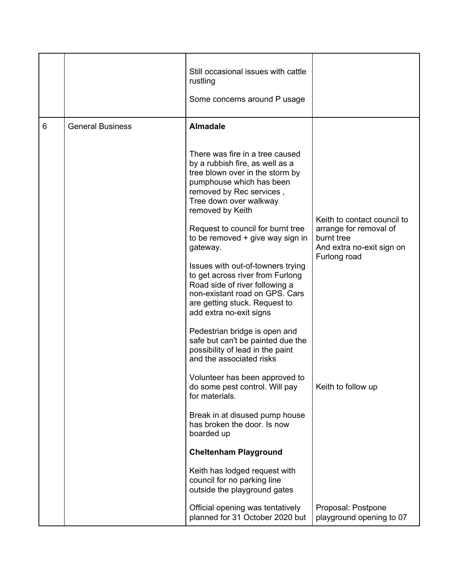|   |                         | Still occasional issues with cattle<br>rustling<br>Some concerns around P usage                                                                                                                             |                                                                                                  |
|---|-------------------------|-------------------------------------------------------------------------------------------------------------------------------------------------------------------------------------------------------------|--------------------------------------------------------------------------------------------------|
| 6 | <b>General Business</b> | <b>Almadale</b>                                                                                                                                                                                             |                                                                                                  |
|   |                         | There was fire in a tree caused<br>by a rubbish fire, as well as a<br>tree blown over in the storm by<br>pumphouse which has been<br>removed by Rec services,<br>Tree down over walkway<br>removed by Keith |                                                                                                  |
|   |                         | Request to council for burnt tree<br>to be removed $+$ give way sign in<br>gateway.                                                                                                                         | Keith to contact council to<br>arrange for removal of<br>burnt tree<br>And extra no-exit sign on |
|   |                         | Issues with out-of-towners trying<br>to get across river from Furlong<br>Road side of river following a<br>non-existant road on GPS. Cars<br>are getting stuck. Request to<br>add extra no-exit signs       | Furlong road                                                                                     |
|   |                         | Pedestrian bridge is open and<br>safe but can't be painted due the<br>possibility of lead in the paint<br>and the associated risks                                                                          |                                                                                                  |
|   |                         | Volunteer has been approved to<br>do some pest control. Will pay<br>for materials.                                                                                                                          | Keith to follow up                                                                               |
|   |                         | Break in at disused pump house<br>has broken the door. Is now<br>boarded up                                                                                                                                 |                                                                                                  |
|   |                         | <b>Cheltenham Playground</b>                                                                                                                                                                                |                                                                                                  |
|   |                         | Keith has lodged request with<br>council for no parking line<br>outside the playground gates                                                                                                                |                                                                                                  |
|   |                         | Official opening was tentatively<br>planned for 31 October 2020 but                                                                                                                                         | Proposal: Postpone<br>playground opening to 07                                                   |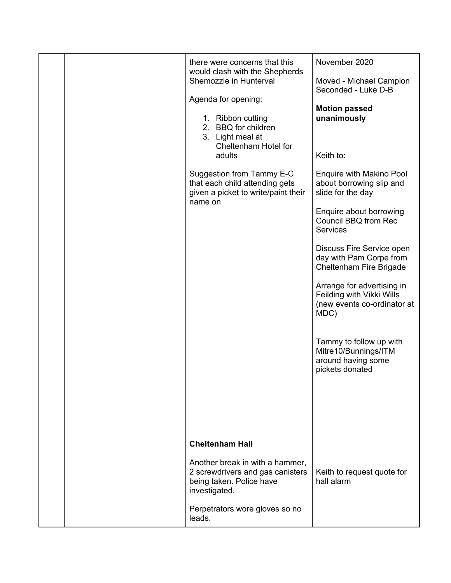|  | there were concerns that this                                                                                    | November 2020                                                                                  |
|--|------------------------------------------------------------------------------------------------------------------|------------------------------------------------------------------------------------------------|
|  | would clash with the Shepherds<br>Shemozzle in Hunterval                                                         | Moved - Michael Campion<br>Seconded - Luke D-B                                                 |
|  | Agenda for opening:                                                                                              | <b>Motion passed</b>                                                                           |
|  | 1. Ribbon cutting<br>2. BBQ for children<br>3. Light meal at<br>Cheltenham Hotel for                             | unanimously                                                                                    |
|  | adults                                                                                                           | Keith to:                                                                                      |
|  | Suggestion from Tammy E-C<br>that each child attending gets<br>given a picket to write/paint their               | Enquire with Makino Pool<br>about borrowing slip and<br>slide for the day                      |
|  | name on                                                                                                          | Enquire about borrowing<br>Council BBQ from Rec<br><b>Services</b>                             |
|  |                                                                                                                  | Discuss Fire Service open<br>day with Pam Corpe from<br>Cheltenham Fire Brigade                |
|  |                                                                                                                  | Arrange for advertising in<br>Feilding with Vikki Wills<br>(new events co-ordinator at<br>MDC) |
|  |                                                                                                                  | Tammy to follow up with<br>Mitre10/Bunnings/ITM<br>around having some<br>pickets donated       |
|  |                                                                                                                  |                                                                                                |
|  |                                                                                                                  |                                                                                                |
|  | <b>Cheltenham Hall</b>                                                                                           |                                                                                                |
|  |                                                                                                                  |                                                                                                |
|  | Another break in with a hammer,<br>2 screwdrivers and gas canisters<br>being taken. Police have<br>investigated. | Keith to request quote for<br>hall alarm                                                       |
|  | Perpetrators wore gloves so no<br>leads.                                                                         |                                                                                                |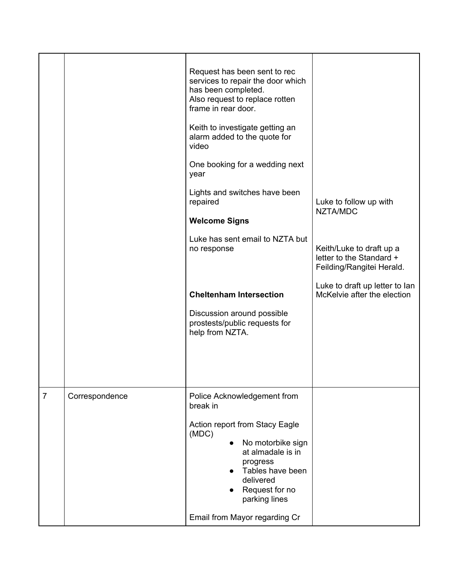|                | Request has been sent to rec<br>services to repair the door which<br>has been completed.<br>Also request to replace rotten<br>frame in rear door.<br>Keith to investigate getting an<br>alarm added to the quote for |                                                                                   |
|----------------|----------------------------------------------------------------------------------------------------------------------------------------------------------------------------------------------------------------------|-----------------------------------------------------------------------------------|
|                | video<br>One booking for a wedding next<br>year                                                                                                                                                                      |                                                                                   |
|                | Lights and switches have been<br>repaired                                                                                                                                                                            | Luke to follow up with<br>NZTA/MDC                                                |
|                |                                                                                                                                                                                                                      |                                                                                   |
|                | Luke has sent email to NZTA but<br>no response                                                                                                                                                                       | Keith/Luke to draft up a<br>letter to the Standard +<br>Feilding/Rangitei Herald. |
|                | <b>Cheltenham Intersection</b>                                                                                                                                                                                       | Luke to draft up letter to lan<br>McKelvie after the election                     |
|                | Discussion around possible<br>prostests/public requests for<br>help from NZTA.                                                                                                                                       |                                                                                   |
| Correspondence | Police Acknowledgement from                                                                                                                                                                                          |                                                                                   |
|                | Action report from Stacy Eagle<br>(MDC)<br>No motorbike sign<br>at almadale is in<br>progress<br>Tables have been<br>delivered<br>Request for no                                                                     |                                                                                   |
|                |                                                                                                                                                                                                                      | <b>Welcome Signs</b><br>break in                                                  |